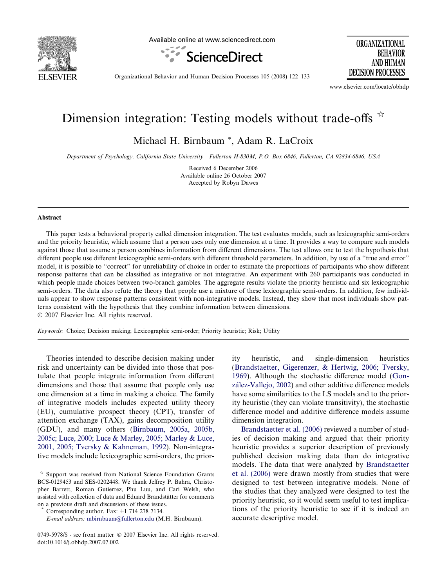

Available online at www.sciencedirect.com



ORGANIZATIONAL **REHAVIOR AND HUMAN DECISION PROCESSES** 

Organizational Behavior and Human Decision Processes 105 (2008) 122–133

www.elsevier.com/locate/obhdp

# Dimension integration: Testing models without trade-offs  $\overrightarrow{r}$

Michael H. Birnbaum \*, Adam R. LaCroix

Department of Psychology, California State University—Fullerton H-830M, P.O. Box 6846, Fullerton, CA 92834-6846, USA

Received 6 December 2006 Available online 26 October 2007 Accepted by Robyn Dawes

#### Abstract

This paper tests a behavioral property called dimension integration. The test evaluates models, such as lexicographic semi-orders and the priority heuristic, which assume that a person uses only one dimension at a time. It provides a way to compare such models against those that assume a person combines information from different dimensions. The test allows one to test the hypothesis that different people use different lexicographic semi-orders with different threshold parameters. In addition, by use of a ''true and error'' model, it is possible to ''correct'' for unreliability of choice in order to estimate the proportions of participants who show different response patterns that can be classified as integrative or not integrative. An experiment with 260 participants was conducted in which people made choices between two-branch gambles. The aggregate results violate the priority heuristic and six lexicographic semi-orders. The data also refute the theory that people use a mixture of these lexicographic semi-orders. In addition, few individuals appear to show response patterns consistent with non-integrative models. Instead, they show that most individuals show patterns consistent with the hypothesis that they combine information between dimensions.

 $© 2007 Elsevier Inc. All rights reserved.$ 

Keywords: Choice; Decision making; Lexicographic semi-order; Priority heuristic; Risk; Utility

Theories intended to describe decision making under risk and uncertainty can be divided into those that postulate that people integrate information from different dimensions and those that assume that people only use one dimension at a time in making a choice. The family of integrative models includes expected utility theory (EU), cumulative prospect theory (CPT), transfer of attention exchange (TAX), gains decomposition utility (GDU), and many others [\(Birnbaum, 2005a, 2005b,](#page-10-0) [2005c; Luce, 2000; Luce & Marley, 2005; Marley & Luce,](#page-10-0) [2001, 2005; Tversky & Kahneman, 1992\)](#page-10-0). Non-integrative models include lexicographic semi-orders, the prior-

Corresponding author. Fax:  $+1$  714 278 7134.

ity heuristic, and single-dimension heuristics ([Brandstaetter, Gigerenzer, & Hertwig, 2006; Tversky,](#page-10-0) [1969\)](#page-10-0). Although the stochastic difference model [\(Gon](#page-10-0)zález-Vallejo, 2002) and other additive difference models have some similarities to the LS models and to the priority heuristic (they can violate transitivity), the stochastic difference model and additive difference models assume dimension integration.

[Brandstaetter et al. \(2006\)](#page-10-0) reviewed a number of studies of decision making and argued that their priority heuristic provides a superior description of previously published decision making data than do integrative models. The data that were analyzed by [Brandstaetter](#page-10-0) [et al. \(2006\)](#page-10-0) were drawn mostly from studies that were designed to test between integrative models. None of the studies that they analyzed were designed to test the priority heuristic, so it would seem useful to test implications of the priority heuristic to see if it is indeed an accurate descriptive model.

 $*$  Support was received from National Science Foundation Grants BCS-0129453 and SES-0202448. We thank Jeffrey P. Bahra, Christopher Barrett, Roman Gutierrez, Phu Luu, and Cari Welsh, who assisted with collection of data and Eduard Brandstätter for comments on a previous draft and discussions of these issues.

E-mail address: [mbirnbaum@fullerton.edu](mailto:mbirnbaum@fullerton.edu) (M.H. Birnbaum).

<sup>0749-5978/\$ -</sup> see front matter © 2007 Elsevier Inc. All rights reserved. doi:10.1016/j.obhdp.2007.07.002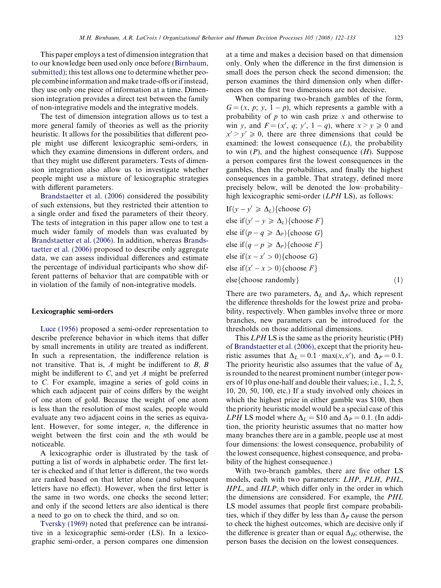This paper employs a test of dimension integration that to our knowledge been used only once before ([Birnbaum,](#page-10-0) [submitted\)](#page-10-0); this test allows one to determine whether people combine information and make trade-offs or if instead, they use only one piece of information at a time. Dimension integration provides a direct test between the family of non-integrative models and the integrative models.

The test of dimension integration allows us to test a more general family of theories as well as the priority heuristic. It allows for the possibilities that different people might use different lexicographic semi-orders, in which they examine dimensions in different orders, and that they might use different parameters. Tests of dimension integration also allow us to investigate whether people might use a mixture of lexicographic strategies with different parameters.

[Brandstaetter et al. \(2006\)](#page-10-0) considered the possibility of such extensions, but they restricted their attention to a single order and fixed the parameters of their theory. The tests of integration in this paper allow one to test a much wider family of models than was evaluated by [Brandstaetter et al. \(2006\).](#page-10-0) In addition, whereas [Brands](#page-10-0)[taetter et al. \(2006\)](#page-10-0) proposed to describe only aggregate data, we can assess individual differences and estimate the percentage of individual participants who show different patterns of behavior that are compatible with or in violation of the family of non-integrative models.

# Lexicographic semi-orders

[Luce \(1956\)](#page-10-0) proposed a semi-order representation to describe preference behavior in which items that differ by small increments in utility are treated as indifferent. In such a representation, the indifference relation is not transitive. That is,  $A$  might be indifferent to  $B$ ,  $B$ might be indifferent to  $C$ , and yet  $A$  might be preferred to C. For example, imagine a series of gold coins in which each adjacent pair of coins differs by the weight of one atom of gold. Because the weight of one atom is less than the resolution of most scales, people would evaluate any two adjacent coins in the series as equivalent. However, for some integer,  $n$ , the difference in weight between the first coin and the nth would be noticeable.

A lexicographic order is illustrated by the task of putting a list of words in alphabetic order. The first letter is checked and if that letter is different, the two words are ranked based on that letter alone (and subsequent letters have no effect). However, when the first letter is the same in two words, one checks the second letter; and only if the second letters are also identical is there a need to go on to check the third, and so on.

[Tversky \(1969\)](#page-11-0) noted that preference can be intransitive in a lexicographic semi-order (LS). In a lexicographic semi-order, a person compares one dimension at a time and makes a decision based on that dimension only. Only when the difference in the first dimension is small does the person check the second dimension; the person examines the third dimension only when differences on the first two dimensions are not decisive.

When comparing two-branch gambles of the form,  $G = (x, p; y, 1-p)$ , which represents a gamble with a probability of  $p$  to win cash prize  $x$  and otherwise to win y, and  $F = (x', q; y', 1 - q)$ , where  $x > y \ge 0$  and  $x' > v' \geq 0$ , there are three dimensions that could be examined: the lowest consequence  $(L)$ , the probability to win  $(P)$ , and the highest consequence  $(H)$ . Suppose a person compares first the lowest consequences in the gambles, then the probabilities, and finally the highest consequences in a gamble. That strategy, defined more precisely below, will be denoted the low–probability– high lexicographic semi-order (*LPH* LS), as follows:

If 
$$
(y - y' \ge \Delta_L)
$$
 {choose G}  
\nelse if  $(y' - y \ge \Delta_L)$  {choose F}  
\nelse if  $(p - q \ge \Delta_P)$  {choose G}  
\nelse if  $(q - p \ge \Delta_P)$  {choose F}  
\nelse if  $(x - x' > 0)$  {choose G}  
\nelse if  $(x' - x > 0)$  {choose F}  
\nelse {choose randomly} (1)

There are two parameters,  $\Delta_L$  and  $\Delta_P$ , which represent the difference thresholds for the lowest prize and probability, respectively. When gambles involve three or more branches, new parameters can be introduced for the thresholds on those additional dimensions.

This LPH LS is the same as the priority heuristic (PH) of [Brandstaetter et al. \(2006\)](#page-10-0), except that the priority heuristic assumes that  $\Delta_L = 0.1 \cdot \max(x, x')$ , and  $\Delta_P = 0.1$ . The priority heuristic also assumes that the value of  $\Delta_L$ is rounded to the nearest prominent number (integer powers of 10 plus one-half and double their values; i.e., 1, 2, 5, 10, 20, 50, 100, etc.) If a study involved only choices in which the highest prize in either gamble was \$100, then the priority heuristic model would be a special case of this LPH LS model where  $\Delta_L = $10$  and  $\Delta_P = 0.1$ . (In addition, the priority heuristic assumes that no matter how many branches there are in a gamble, people use at most four dimensions: the lowest consequence, probability of the lowest consequence, highest consequence, and probability of the highest consequence.)

With two-branch gambles, there are five other LS models, each with two parameters: LHP, PLH, PHL, HPL, and HLP, which differ only in the order in which the dimensions are considered. For example, the PHL LS model assumes that people first compare probabilities, which if they differ by less than  $\Delta_P$  cause the person to check the highest outcomes, which are decisive only if the difference is greater than or equal  $\Delta_H$ ; otherwise, the person bases the decision on the lowest consequences.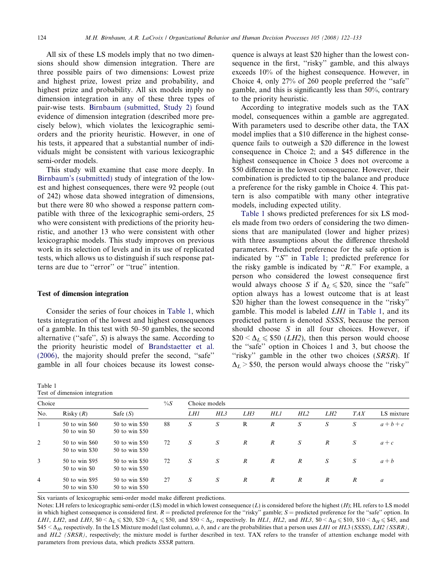<span id="page-2-0"></span>All six of these LS models imply that no two dimensions should show dimension integration. There are three possible pairs of two dimensions: Lowest prize and highest prize, lowest prize and probability, and highest prize and probability. All six models imply no dimension integration in any of these three types of pair-wise tests. [Birnbaum \(submitted, Study 2\)](#page-10-0) found evidence of dimension integration (described more precisely below), which violates the lexicographic semiorders and the priority heuristic. However, in one of his tests, it appeared that a substantial number of individuals might be consistent with various lexicographic semi-order models.

This study will examine that case more deeply. In [Birnbaum's \(submitted\)](#page-10-0) study of integration of the lowest and highest consequences, there were 92 people (out of 242) whose data showed integration of dimensions, but there were 80 who showed a response pattern compatible with three of the lexicographic semi-orders, 25 who were consistent with predictions of the priority heuristic, and another 13 who were consistent with other lexicographic models. This study improves on previous work in its selection of levels and in its use of replicated tests, which allows us to distinguish if such response patterns are due to "error" or "true" intention.

#### Test of dimension integration

Consider the series of four choices in Table 1, which tests integration of the lowest and highest consequences of a gamble. In this test with 50–50 gambles, the second alternative (''safe'', S) is always the same. According to the priority heuristic model of [Brandstaetter et al.](#page-10-0) [\(2006\)](#page-10-0), the majority should prefer the second, ''safe'' gamble in all four choices because its lowest conse-

Table 1

| Test of dimension integration |  |
|-------------------------------|--|
|                               |  |
|                               |  |

quence is always at least \$20 higher than the lowest consequence in the first, "risky" gamble, and this always exceeds 10% of the highest consequence. However, in Choice 4, only 27% of 260 people preferred the ''safe'' gamble, and this is significantly less than 50%, contrary to the priority heuristic.

According to integrative models such as the TAX model, consequences within a gamble are aggregated. With parameters used to describe other data, the TAX model implies that a \$10 difference in the highest consequence fails to outweigh a \$20 difference in the lowest consequence in Choice 2; and a \$45 difference in the highest consequence in Choice 3 does not overcome a \$50 difference in the lowest consequence. However, their combination is predicted to tip the balance and produce a preference for the risky gamble in Choice 4. This pattern is also compatible with many other integrative models, including expected utility.

Table 1 shows predicted preferences for six LS models made from two orders of considering the two dimensions that are manipulated (lower and higher prizes) with three assumptions about the difference threshold parameters. Predicted preference for the safe option is indicated by ''S'' in Table 1; predicted preference for the risky gamble is indicated by " $R$ ." For example, a person who considered the lowest consequence first would always choose S if  $\Delta_L \le$  \$20, since the "safe" option always has a lowest outcome that is at least \$20 higher than the lowest consequence in the "risky" gamble. This model is labeled LH1 in Table 1, and its predicted pattern is denoted SSSS, because the person should choose S in all four choices. However, if  $$20 < \Delta_L \le $50$  (*LH2*), then this person would choose the ''safe'' option in Choices 1 and 3, but choose the "risky" gamble in the other two choices (SRSR). If  $\Delta_L$  > \$50, the person would always choose the "risky"

| Choice         |                                  |                                  | $\%S$ | Choice models |     |                  |                  |                  |                  |                  |                  |
|----------------|----------------------------------|----------------------------------|-------|---------------|-----|------------------|------------------|------------------|------------------|------------------|------------------|
| No.            | Risky $(R)$                      | Safe $(S)$                       |       | LH1           | HL3 | LH3              | HL1              | HL2              | LH2              | <b>TAX</b>       | LS mixture       |
|                | 50 to win \$60<br>50 to win \$0  | 50 to win \$50<br>50 to win \$50 | 88    | S             | S   | $\mathbf R$      | $\boldsymbol{R}$ | S                | S                | S                | $a+b+c$          |
| 2              | 50 to win \$60<br>50 to win \$30 | 50 to win \$50<br>50 to win \$50 | 72    | S             | S   | $\overline{R}$   | $\mathbb{R}$     | S                | $\boldsymbol{R}$ | S                | $a+c$            |
| 3              | 50 to win \$95<br>50 to win \$0  | 50 to win \$50<br>50 to win \$50 | 72    | S             | S   | $\overline{R}$   | $\boldsymbol{R}$ | $\overline{R}$   | S                | S                | $a + b$          |
| $\overline{4}$ | 50 to win \$95<br>50 to win \$30 | 50 to win \$50<br>50 to win \$50 | 27    | S             | S   | $\boldsymbol{R}$ | $\boldsymbol{R}$ | $\boldsymbol{R}$ | $\boldsymbol{R}$ | $\boldsymbol{R}$ | $\boldsymbol{a}$ |

Six variants of lexicographic semi-order model make different predictions.

Notes: LH refers to lexicographic semi-order (LS) model in which lowest consequence  $(L)$  is considered before the highest  $(H)$ ; HL refers to LS model in which highest consequence is considered first.  $R =$  predicted preference for the "risky" gamble;  $S =$  predicted preference for the "safe" option. In LH1, LH2, and LH3,  $\$0 < \Delta_L \leq \$20$ ,  $\$20 < \Delta_L \leq \$50$ , and  $\$50 < \Delta_L$ , respectively. In HL1, HL2, and HL3,  $\$0 < \Delta_H \leq \$10$ ,  $\$10 < \Delta_H \leq \$45$ , and \$45  $\leq \Delta_H$ , respectively. In the LS Mixture model (last column), a, b, and c are the probabilities that a person uses LH1 or HL3 (SSSS), LH2 (SSRR), and HL2 (SRSR), respectively; the mixture model is further described in text. TAX refers to the transfer of attention exchange model with parameters from previous data, which predicts SSSR pattern.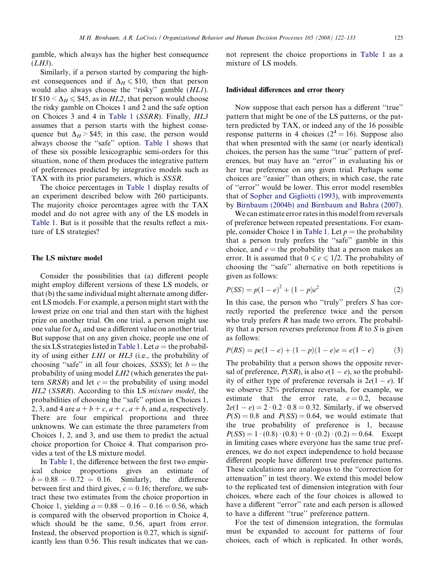gamble, which always has the higher best consequence  $(LH3)$ .

Similarly, if a person started by comparing the highest consequences and if  $\Delta_H \le$  \$10, then that person would also always choose the "risky" gamble (HL1). If  $$10 < \Delta_H \le $45$ , as in HL2, that person would choose the risky gamble on Choices 1 and 2 and the safe option on Choices 3 and 4 in [Table 1](#page-2-0) (SSRR). Finally, HL3 assumes that a person starts with the highest consequence but  $\Delta_H$  > \$45; in this case, the person would always choose the ''safe'' option. [Table 1](#page-2-0) shows that of these six possible lexicographic semi-orders for this situation, none of them produces the integrative pattern of preferences predicted by integrative models such as TAX with its prior parameters, which is SSSR.

The choice percentages in [Table 1](#page-2-0) display results of an experiment described below with 260 participants. The majority choice percentages agree with the TAX model and do not agree with any of the LS models in [Table 1](#page-2-0). But is it possible that the results reflect a mixture of LS strategies?

#### The LS mixture model

Consider the possibilities that (a) different people might employ different versions of these LS models, or that (b) the same individual might alternate among different LS models. For example, a person might start with the lowest prize on one trial and then start with the highest prize on another trial. On one trial, a person might use one value for  $\Delta_L$  and use a different value on another trial. But suppose that on any given choice, people use one of the six LS strategies listed in [Table 1.](#page-2-0) Let  $a =$  the probability of using either LH1 or HL3 (i.e., the probability of choosing "safe" in all four choices, SSSS); let  $b =$  the probability of using model LH2 (which generates the pattern  $SRSR$ ) and let  $c =$  the probability of using model HL2 (SSRR). According to this LS mixture model, the probabilities of choosing the ''safe'' option in Choices 1, 2, 3, and 4 are  $a + b + c$ ,  $a + c$ ,  $a + b$ , and a, respectively. There are four empirical proportions and three unknowns. We can estimate the three parameters from Choices 1, 2, and 3, and use them to predict the actual choice proportion for Choice 4. That comparison provides a test of the LS mixture model.

In [Table 1](#page-2-0), the difference between the first two empirical choice proportions gives an estimate of  $\hat{b} = 0.88 - 0.72 = 0.16$ . Similarly, the difference between first and third gives,  $\hat{c} = 0.16$ ; therefore, we subtract these two estimates from the choice proportion in Choice 1, yielding  $\hat{a} = 0.88 - 0.16 - 0.16 = 0.56$ , which is compared with the observed proportion in Choice 4, which should be the same, 0.56, apart from error. Instead, the observed proportion is 0.27, which is significantly less than 0.56. This result indicates that we cannot represent the choice proportions in [Table 1](#page-2-0) as a mixture of LS models.

#### Individual differences and error theory

Now suppose that each person has a different ''true'' pattern that might be one of the LS patterns, or the pattern predicted by TAX, or indeed any of the 16 possible response patterns in 4 choices ( $2^4 = 16$ ). Suppose also that when presented with the same (or nearly identical) choices, the person has the same ''true'' pattern of preferences, but may have an ''error'' in evaluating his or her true preference on any given trial. Perhaps some choices are ''easier'' than others; in which case, the rate of ''error'' would be lower. This error model resembles that of [Sopher and Gigliotti \(1993\)](#page-11-0), with improvements by [Birnbaum \(2004b\) and Birnbaum and Bahra \(2007\).](#page-10-0)

We can estimate error rates in this model from reversals of preference between repeated presentations. For exam-ple, consider Choice 1 in [Table 1](#page-2-0). Let  $p =$  the probability that a person truly prefers the ''safe'' gamble in this choice, and  $e =$  the probability that a person makes an error. It is assumed that  $0 \le e \le 1/2$ . The probability of choosing the ''safe'' alternative on both repetitions is given as follows:

$$
P(SS) = p(1 - e)^{2} + (1 - p)e^{2}
$$
 (2)

In this case, the person who "truly" prefers  $S$  has correctly reported the preference twice and the person who truly prefers  $R$  has made two errors. The probability that a person reverses preference from  $R$  to  $S$  is given as follows:

$$
P(RS) = pe(1 - e) + (1 - p)(1 - e)e = e(1 - e)
$$
 (3)

The probability that a person shows the opposite reversal of preference,  $P(SR)$ , is also  $e(1 - e)$ , so the probability of either type of preference reversals is  $2e(1 - e)$ . If we observe 32% preference reversals, for example, we estimate that the error rate,  $e = 0.2$ , because  $2e(1 - e) = 2 \cdot 0.2 \cdot 0.8 = 0.32$ . Similarly, if we observed  $P(S) = 0.8$  and  $P(SS) = 0.64$ , we would estimate that the true probability of preference is 1, because  $P(SS) = 1 \cdot (0.8) \cdot (0.8) + 0 \cdot (0.2) \cdot (0.2) = 0.64$ . Except in limiting cases where everyone has the same true preferences, we do not expect independence to hold because different people have different true preference patterns. These calculations are analogous to the ''correction for attenuation'' in test theory. We extend this model below to the replicated test of dimension integration with four choices, where each of the four choices is allowed to have a different ''error'' rate and each person is allowed to have a different ''true'' preference pattern.

For the test of dimension integration, the formulas must be expanded to account for patterns of four choices, each of which is replicated. In other words,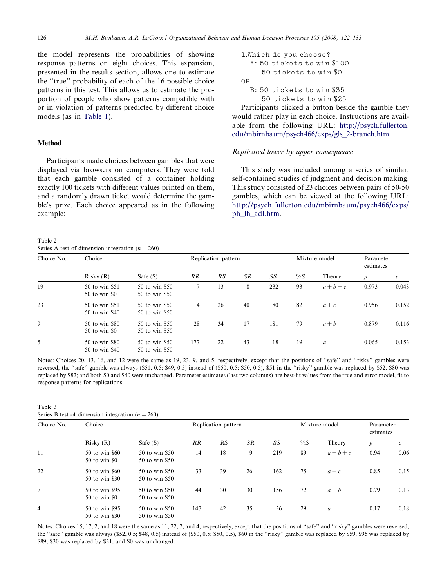<span id="page-4-0"></span>the model represents the probabilities of showing response patterns on eight choices. This expansion, presented in the results section, allows one to estimate the ''true'' probability of each of the 16 possible choice patterns in this test. This allows us to estimate the proportion of people who show patterns compatible with or in violation of patterns predicted by different choice models (as in [Table 1](#page-2-0)).

### Method

Participants made choices between gambles that were displayed via browsers on computers. They were told that each gamble consisted of a container holding exactly 100 tickets with different values printed on them, and a randomly drawn ticket would determine the gamble's prize. Each choice appeared as in the following example:

Table 2

Series A test of dimension integration  $(n - 260)$ 

```
1.Which do you choose?
  A: 50 tickets to win $100
     50 tickets to win $0
OR
  B: 50 tickets to win $35
     50 tickets to win $25
```
Participants clicked a button beside the gamble they would rather play in each choice. Instructions are available from the following URL: [http://psych.fullerton.](http://psych.fullerton.edu/mbirnbaum/psych466/exps/gls_2-branch.htm) [edu/mbirnbaum/psych466/exps/gls\\_2-branch.htm.](http://psych.fullerton.edu/mbirnbaum/psych466/exps/gls_2-branch.htm)

# Replicated lower by upper consequence

This study was included among a series of similar, self-contained studies of judgment and decision making. This study consisted of 23 choices between pairs of 50-50 gambles, which can be viewed at the following URL: [http://psych.fullerton.edu/mbirnbaum/psych466/exps/](http://psych.fullerton.edu/mbirnbaum/psych466/exps/ph_lh_adl.htm) [ph\\_lh\\_adl.htm.](http://psych.fullerton.edu/mbirnbaum/psych466/exps/ph_lh_adl.htm)

| Choice No. | Choice                           |                                  | Replication pattern |    |           |     | Mixture model |                  | Parameter<br>estimates |            |
|------------|----------------------------------|----------------------------------|---------------------|----|-----------|-----|---------------|------------------|------------------------|------------|
|            | Risky(R)                         | Safe $(S)$                       | RR                  | RS | <b>SR</b> | SS  | $\%S$         | Theory           | $\boldsymbol{p}$       | $\epsilon$ |
| 19         | 50 to win \$51<br>50 to win \$0  | 50 to win \$50<br>50 to win \$50 | 7                   | 13 | 8         | 232 | 93            | $a+b+c$          | 0.973                  | 0.043      |
| 23         | 50 to win \$51<br>50 to win \$40 | 50 to win \$50<br>50 to win \$50 | 14                  | 26 | 40        | 180 | 82            | $a+c$            | 0.956                  | 0.152      |
| 9          | 50 to win \$80<br>50 to win \$0  | 50 to win \$50<br>50 to win \$50 | 28                  | 34 | 17        | 181 | 79            | $a + b$          | 0.879                  | 0.116      |
| 5          | 50 to win \$80<br>50 to win \$40 | 50 to win \$50<br>50 to win \$50 | 177                 | 22 | 43        | 18  | 19            | $\boldsymbol{a}$ | 0.065                  | 0.153      |

Notes: Choices 20, 13, 16, and 12 were the same as 19, 23, 9, and 5, respectively, except that the positions of "safe" and "risky" gambles were reversed, the ''safe'' gamble was always (\$51, 0.5; \$49, 0.5) instead of (\$50, 0.5; \$50, 0.5), \$51 in the ''risky'' gamble was replaced by \$52, \$80 was replaced by \$82; and both \$0 and \$40 were unchanged. Parameter estimates (last two columns) are best-fit values from the true and error model, fit to response patterns for replications.

Table 3 Series B test of dimension integration ( $n = 260$ )

| Choice No.     | Choice                           |                                  | Replication pattern |    |           |     | Mixture model |                  | Parameter<br>estimates |            |
|----------------|----------------------------------|----------------------------------|---------------------|----|-----------|-----|---------------|------------------|------------------------|------------|
|                | Risky(R)                         | Safe $(S)$                       | $_{RR}$             | RS | <b>SR</b> | SS  | %S            | Theory           | p                      | $\epsilon$ |
| 11             | 50 to win \$60<br>50 to win \$0  | 50 to win \$50<br>50 to win \$50 | 14                  | 18 | 9         | 219 | 89            | $a+b+c$          | 0.94                   | 0.06       |
| 22             | 50 to win \$60<br>50 to win \$30 | 50 to win \$50<br>50 to win \$50 | 33                  | 39 | 26        | 162 | 75            | $a+c$            | 0.85                   | 0.15       |
| $\overline{7}$ | 50 to win \$95<br>50 to win \$0  | 50 to win \$50<br>50 to win \$50 | 44                  | 30 | 30        | 156 | 72            | $a + b$          | 0.79                   | 0.13       |
| $\overline{4}$ | 50 to win \$95<br>50 to win \$30 | 50 to win \$50<br>50 to win \$50 | 147                 | 42 | 35        | 36  | 29            | $\boldsymbol{a}$ | 0.17                   | 0.18       |

Notes: Choices 15, 17, 2, and 18 were the same as 11, 22, 7, and 4, respectively, except that the positions of "safe" and "risky" gambles were reversed, the ''safe'' gamble was always (\$52, 0.5; \$48, 0.5) instead of (\$50, 0.5; \$50, 0.5), \$60 in the ''risky'' gamble was replaced by \$59, \$95 was replaced by \$89; \$30 was replaced by \$31, and \$0 was unchanged.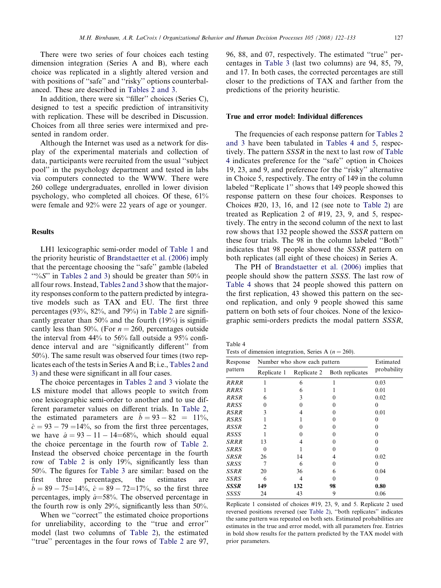<span id="page-5-0"></span>There were two series of four choices each testing dimension integration (Series A and B), where each choice was replicated in a slightly altered version and with positions of "safe" and "risky" options counterbalanced. These are described in [Tables 2 and 3.](#page-4-0)

In addition, there were six ''filler'' choices (Series C), designed to test a specific prediction of intransitivity with replication. These will be described in Discussion. Choices from all three series were intermixed and presented in random order.

Although the Internet was used as a network for display of the experimental materials and collection of data, participants were recruited from the usual ''subject pool'' in the psychology department and tested in labs via computers connected to the WWW. There were 260 college undergraduates, enrolled in lower division psychology, who completed all choices. Of these, 61% were female and 92% were 22 years of age or younger.

# Results

LH1 lexicographic semi-order model of [Table 1](#page-2-0) and the priority heuristic of [Brandstaetter et al. \(2006\)](#page-10-0) imply that the percentage choosing the ''safe'' gamble (labeled "%S" in [Tables 2 and 3\)](#page-4-0) should be greater than  $50\%$  in all four rows. Instead, [Tables 2 and 3](#page-4-0) show that the majority responses conform to the pattern predicted by integrative models such as TAX and EU. The first three percentages (93%, 82%, and 79%) in [Table 2](#page-4-0) are significantly greater than 50% and the fourth (19%) is significantly less than 50%. (For  $n = 260$ , percentages outside the interval from 44% to 56% fall outside a 95% confidence interval and are ''significantly different'' from 50%). The same result was observed four times (two replicates each of the tests in Series A and B; i.e., [Tables 2 and](#page-4-0) [3\)](#page-4-0) and these were significant in all four cases.

The choice percentages in [Tables 2 and 3](#page-4-0) violate the LS mixture model that allows people to switch from one lexicographic semi-order to another and to use different parameter values on different trials. In [Table 2,](#page-4-0) the estimated parameters are  $\hat{b} = 93 - 82 = 11\%$ ,  $\hat{c} = 93 - 79 = 14\%$ , so from the first three percentages, we have  $\hat{a} = 93 - 11 - 14 = 68\%$ , which should equal the choice percentage in the fourth row of [Table 2.](#page-4-0) Instead the observed choice percentage in the fourth row of [Table 2](#page-4-0) is only 19%, significantly less than 50%. The figures for [Table 3](#page-4-0) are similar: based on the first three percentages, the estimates are  $\hat{b} = 89 - 75 = 14\%, \ \hat{c} = 89 - 72 = 17\%,$  so the first three percentages, imply  $\hat{a}=58\%$ . The observed percentage in the fourth row is only 29%, significantly less than 50%.

When we ''correct'' the estimated choice proportions for unreliability, according to the ''true and error'' model (last two columns of [Table 2\)](#page-4-0), the estimated ''true'' percentages in the four rows of [Table 2](#page-4-0) are 97, 96, 88, and 07, respectively. The estimated ''true'' percentages in [Table 3](#page-4-0) (last two columns) are 94, 85, 79, and 17. In both cases, the corrected percentages are still closer to the predictions of TAX and farther from the predictions of the priority heuristic.

#### True and error model: Individual differences

The frequencies of each response pattern for [Tables 2](#page-4-0) [and 3](#page-4-0) have been tabulated in Tables 4 and 5, respectively. The pattern SSSR in the next to last row of Table 4 indicates preference for the ''safe'' option in Choices 19, 23, and 9, and preference for the ''risky'' alternative in Choice 5, respectively. The entry of 149 in the column labeled ''Replicate 1'' shows that 149 people showed this response pattern on these four choices. Responses to Choices #20, 13, 16, and 12 (see note to [Table 2\)](#page-4-0) are treated as Replication 2 of #19, 23, 9, and 5, respectively. The entry in the second column of the next to last row shows that 132 people showed the SSSR pattern on these four trials. The 98 in the column labeled ''Both'' indicates that 98 people showed the SSSR pattern on both replicates (all eight of these choices) in Series A.

The PH of [Brandstaetter et al. \(2006\)](#page-10-0) implies that people should show the pattern SSSS. The last row of Table 4 shows that 24 people showed this pattern on the first replication, 43 showed this pattern on the second replication, and only 9 people showed this same pattern on both sets of four choices. None of the lexicographic semi-orders predicts the modal pattern SSSR,

Table 4 Tests of dimension integration, Series A ( $n = 260$ ).

| Response    | Number who show each pattern | Estimated   |                 |             |  |
|-------------|------------------------------|-------------|-----------------|-------------|--|
| pattern     | Replicate 1                  | Replicate 2 | Both replicates | probability |  |
| <b>RRRR</b> |                              | 6           |                 | 0.03        |  |
| RRRS        |                              | 6           |                 | 0.01        |  |
| RRSR        | 6                            | 3           |                 | 0.02        |  |
| RRSS        | $\theta$                     | 0           | $\Omega$        | $\Omega$    |  |
| RSRR        | 3                            | 4           | $\Omega$        | 0.01        |  |
| RSRS        |                              |             |                 | 0           |  |
| RSSR        | $\overline{c}$               |             |                 |             |  |
| <b>RSSS</b> |                              |             |                 |             |  |
| SRRR        | 13                           |             |                 |             |  |
| SRRS        | $\theta$                     |             |                 | 0           |  |
| SRSR        | 26                           | 14          | 4               | 0.02        |  |
| SRSS        | 7                            | 6           | $\Omega$        | $\Omega$    |  |
| SSRR        | 20                           | 36          | 6               | 0.04        |  |
| <b>SSRS</b> | 6                            | 4           | $\Omega$        | $\Omega$    |  |
| SSSR        | 149                          | 132         | 98              | 0.80        |  |
| SSSS        | 24                           | 43          | 9               | 0.06        |  |

Replicate 1 consisted of choices #19, 23, 9, and 5. Replicate 2 used reversed positions reversed (see [Table 2](#page-4-0)), ''both replicates'' indicates the same pattern was repeated on both sets. Estimated probabilities are estimates in the true and error model, with all parameters free. Entries in bold show results for the pattern predicted by the TAX model with prior parameters.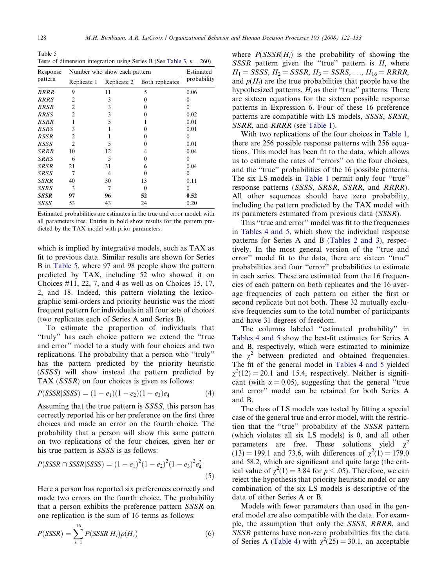Table 5 Tests of dimension integration using Series B (See [Table 3](#page-4-0),  $n = 260$ )

| Response    | Number who show each pattern | Estimated   |                 |             |
|-------------|------------------------------|-------------|-----------------|-------------|
| pattern     | Replicate 1                  | Replicate 2 | Both replicates | probability |
| <i>RRRR</i> | 9                            | 11          | 5               | 0.06        |
| RRRS        | 2                            | 3           |                 | $\theta$    |
| RRSR        | $\mathfrak{D}$               | 3           | 0               | 0           |
| <b>RRSS</b> | $\mathfrak{D}$               | 3           | 0               | 0.02        |
| RSRR        |                              | 5           |                 | 0.01        |
| <b>RSRS</b> | 3                            |             | 0               | 0.01        |
| RSSR        | 2                            |             | 0               | 0           |
| RSSS        | $\mathfrak{D}$               | 5           | 0               | 0.01        |
| SRRR        | 10                           | 12          | 4               | 0.04        |
| SRRS        | 6                            | 5           | $\Omega$        | 0           |
| SRSR        | 21                           | 31          | 6               | 0.04        |
| SRSS        | 7                            | 4           | $\Omega$        | 0           |
| <b>SSRR</b> | 40                           | 30          | 13              | 0.11        |
| SSRS        | 3                            | 7           | 0               | 0           |
| SSSR        | 97                           | 96          | 52              | 0.52        |
| SSSS        | 53                           | 43          | 24              | 0.20        |

Estimated probabilities are estimates in the true and error model, with all parameters free. Entries in bold show results for the pattern predicted by the TAX model with prior parameters.

which is implied by integrative models, such as TAX as fit to previous data. Similar results are shown for Series B in Table 5, where 97 and 98 people show the pattern predicted by TAX, including 52 who showed it on Choices #11, 22, 7, and 4 as well as on Choices 15, 17, 2, and 18. Indeed, this pattern violating the lexicographic semi-orders and priority heuristic was the most frequent pattern for individuals in all four sets of choices (two replicates each of Series A and Series B).

To estimate the proportion of individuals that ''truly'' has each choice pattern we extend the ''true and error'' model to a study with four choices and two replications. The probability that a person who ''truly'' has the pattern predicted by the priority heuristic (SSSS) will show instead the pattern predicted by TAX (SSSR) on four choices is given as follows:

$$
P(SSSR|SSSS) = (1 - e_1)(1 - e_2)(1 - e_3)e_4
$$
\n(4)

Assuming that the true pattern is SSSS, this person has correctly reported his or her preference on the first three choices and made an error on the fourth choice. The probability that a person will show this same pattern on two replications of the four choices, given her or his true pattern is SSSS is as follows:

$$
P(SSSR \cap SSSR|SSSS) = (1 - e_1)^2 (1 - e_2)^2 (1 - e_3)^2 e_4^2
$$
\n(5)

Here a person has reported six preferences correctly and made two errors on the fourth choice. The probability that a person exhibits the preference pattern SSSR on one replication is the sum of 16 terms as follows:

$$
P(SSSR) = \sum_{i=1}^{16} P(SSSR|H_i)p(H_i)
$$
\n(6)

where  $P(SSSR|H_i)$  is the probability of showing the SSSR pattern given the "true" pattern is  $H_i$  where  $H_1 = SSSS$ ,  $H_2 = SSSR$ ,  $H_3 = SSRS$ , ...,  $H_{16} = RRRR$ , and  $p(H<sub>i</sub>)$  are the true probabilities that people have the hypothesized patterns,  $H_i$  as their "true" patterns. There are sixteen equations for the sixteen possible response patterns in Expression 6. Four of these 16 preference patterns are compatible with LS models, SSSS, SRSR, SSRR, and RRRR (see [Table 1](#page-2-0)).

With two replications of the four choices in [Table 1](#page-2-0), there are 256 possible response patterns with 256 equations. This model has been fit to the data, which allows us to estimate the rates of ''errors'' on the four choices, and the ''true'' probabilities of the 16 possible patterns. The six LS models in [Table 1](#page-2-0) permit only four ''true'' response patterns (SSSS, SRSR, SSRR, and RRRR). All other sequences should have zero probability, including the pattern predicted by the TAX model with its parameters estimated from previous data (SSSR).

This ''true and error'' model was fit to the frequencies in [Tables 4 and 5](#page-5-0), which show the individual response patterns for Series A and B ([Tables 2 and 3\)](#page-4-0), respectively. In the most general version of the ''true and error'' model fit to the data, there are sixteen ''true'' probabilities and four ''error'' probabilities to estimate in each series. These are estimated from the 16 frequencies of each pattern on both replicates and the 16 average frequencies of each pattern on either the first or second replicate but not both. These 32 mutually exclusive frequencies sum to the total number of participants and have 31 degrees of freedom.

The columns labeled ''estimated probability'' in [Tables 4 and 5](#page-5-0) show the best-fit estimates for Series A and B, respectively, which were estimated to minimize the  $\chi^2$  between predicted and obtained frequencies. The fit of the general model in [Tables 4 and 5](#page-5-0) yielded  $\chi^2(12) = 20.1$  and 15.4, respectively. Neither is significant (with  $\alpha = 0.05$ ), suggesting that the general "true and error'' model can be retained for both Series A and B.

The class of LS models was tested by fitting a special case of the general true and error model, with the restriction that the ''true'' probability of the SSSR pattern (which violates all six LS models) is 0, and all other parameters are free. These solutions yield  $\chi^2$  $(13) = 199.1$  and 73.6, with differences of  $\chi^2(1) = 179.0$ and 58.2, which are significant and quite large (the critical value of  $\chi^2(1) = 3.84$  for  $p < .05$ ). Therefore, we can reject the hypothesis that priority heuristic model or any combination of the six LS models is descriptive of the data of either Series A or B.

Models with fewer parameters than used in the general model are also compatible with the data. For example, the assumption that only the SSSS, RRRR, and SSSR patterns have non-zero probabilities fits the data of Series A [\(Table 4](#page-5-0)) with  $\chi^2(25) = 30.1$ , an acceptable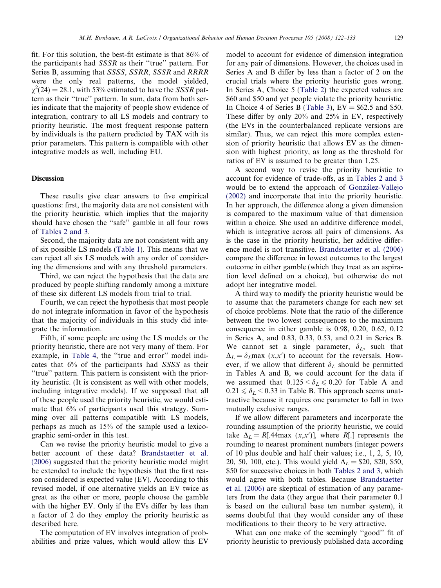fit. For this solution, the best-fit estimate is that 86% of the participants had SSSR as their ''true'' pattern. For Series B, assuming that SSSS, SSRR, SSSR and RRRR were the only real patterns, the model yielded,  $\chi^2(24) = 28.1$ , with 53% estimated to have the SSSR pattern as their ''true'' pattern. In sum, data from both series indicate that the majority of people show evidence of integration, contrary to all LS models and contrary to priority heuristic. The most frequent response pattern by individuals is the pattern predicted by TAX with its prior parameters. This pattern is compatible with other

### Discussion

These results give clear answers to five empirical questions: first, the majority data are not consistent with the priority heuristic, which implies that the majority should have chosen the ''safe'' gamble in all four rows of [Tables 2 and 3.](#page-4-0)

integrative models as well, including EU.

Second, the majority data are not consistent with any of six possible LS models [\(Table 1](#page-2-0)). This means that we can reject all six LS models with any order of considering the dimensions and with any threshold parameters.

Third, we can reject the hypothesis that the data are produced by people shifting randomly among a mixture of these six different LS models from trial to trial.

Fourth, we can reject the hypothesis that most people do not integrate information in favor of the hypothesis that the majority of individuals in this study did integrate the information.

Fifth, if some people are using the LS models or the priority heuristic, there are not very many of them. For example, in [Table 4,](#page-5-0) the ''true and error'' model indicates that 6% of the participants had SSSS as their ''true'' pattern. This pattern is consistent with the priority heuristic. (It is consistent as well with other models, including integrative models). If we supposed that all of these people used the priority heuristic, we would estimate that 6% of participants used this strategy. Summing over all patterns compatible with LS models, perhaps as much as 15% of the sample used a lexicographic semi-order in this test.

Can we revise the priority heuristic model to give a better account of these data? [Brandstaetter et al.](#page-10-0) [\(2006\)](#page-10-0) suggested that the priority heuristic model might be extended to include the hypothesis that the first reason considered is expected value (EV). According to this revised model, if one alternative yields an EV twice as great as the other or more, people choose the gamble with the higher EV. Only if the EVs differ by less than a factor of 2 do they employ the priority heuristic as described here.

The computation of EV involves integration of probabilities and prize values, which would allow this EV model to account for evidence of dimension integration for any pair of dimensions. However, the choices used in Series A and B differ by less than a factor of 2 on the crucial trials where the priority heuristic goes wrong. In Series A, Choice 5 [\(Table 2\)](#page-4-0) the expected values are \$60 and \$50 and yet people violate the priority heuristic. In Choice 4 of Series B [\(Table 3\)](#page-4-0),  $EV = $62.5$  and \$50. These differ by only 20% and 25% in EV, respectively (the EVs in the counterbalanced replicate versions are similar). Thus, we can reject this more complex extension of priority heuristic that allows EV as the dimension with highest priority, as long as the threshold for ratios of EV is assumed to be greater than 1.25.

A second way to revise the priority heuristic to account for evidence of trade-offs, as in [Tables 2 and 3](#page-4-0) would be to extend the approach of González-Vallejo [\(2002\)](#page-10-0) and incorporate that into the priority heuristic. In her approach, the difference along a given dimension is compared to the maximum value of that dimension within a choice. She used an additive difference model. which is integrative across all pairs of dimensions. As is the case in the priority heuristic, her additive difference model is not transitive. [Brandstaetter et al. \(2006\)](#page-10-0) compare the difference in lowest outcomes to the largest outcome in either gamble (which they treat as an aspiration level defined on a choice), but otherwise do not adopt her integrative model.

A third way to modify the priority heuristic would be to assume that the parameters change for each new set of choice problems. Note that the ratio of the difference between the two lowest consequences to the maximum consequence in either gamble is 0.98, 0.20, 0.62, 0.12 in Series A, and 0.83, 0.33, 0.53, and 0.21 in Series B. We cannot set a single parameter,  $\delta_L$ , such that  $\Delta_L = \delta_L$  max  $(x, x')$  to account for the reversals. However, if we allow that different  $\delta_L$  should be permitted in Tables A and B, we could account for the data if we assumed that  $0.125 \le \delta_L \le 0.20$  for Table A and  $0.21 \le \delta_L$  < 0.33 in Table B. This approach seems unattractive because it requires one parameter to fall in two mutually exclusive ranges.

If we allow different parameters and incorporate the rounding assumption of the priority heuristic, we could take  $\Delta_L = R[.44 \text{max} (x, x')]$ , where R[.] represents the rounding to nearest prominent numbers (integer powers of 10 plus double and half their values; i.e., 1, 2, 5, 10, 20, 50, 100, etc.). This would yield  $\Delta_L = $20, $20, $50,$ \$50 for successive choices in both [Tables 2 and 3,](#page-4-0) which would agree with both tables. Because [Brandstaetter](#page-10-0) [et al. \(2006\)](#page-10-0) are skeptical of estimation of any parameters from the data (they argue that their parameter 0.1 is based on the cultural base ten number system), it seems doubtful that they would consider any of these modifications to their theory to be very attractive.

What can one make of the seemingly ''good'' fit of priority heuristic to previously published data according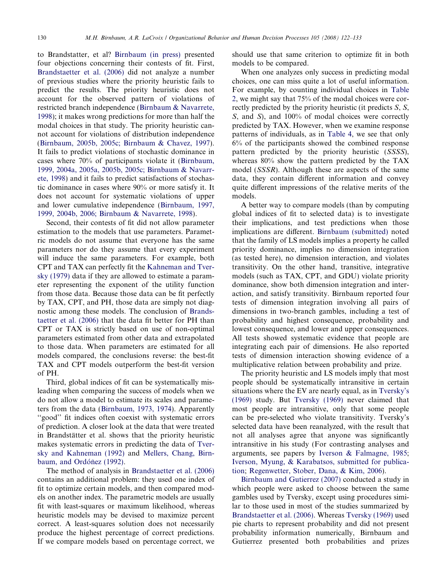to Brandstatter, et al? [Birnbaum \(in press\)](#page-10-0) presented four objections concerning their contests of fit. First, [Brandstaetter et al. \(2006\)](#page-10-0) did not analyze a number of previous studies where the priority heuristic fails to predict the results. The priority heuristic does not account for the observed pattern of violations of restricted branch independence [\(Birnbaum & Navarrete,](#page-10-0) [1998\)](#page-10-0); it makes wrong predictions for more than half the modal choices in that study. The priority heuristic cannot account for violations of distribution independence ([Birnbaum, 2005b, 2005c; Birnbaum & Chavez, 1997\)](#page-10-0). It fails to predict violations of stochastic dominance in cases where 70% of participants violate it [\(Birnbaum,](#page-10-0) [1999, 2004a, 2005a, 2005b, 2005c; Birnbaum & Navarr](#page-10-0)[ete, 1998](#page-10-0)) and it fails to predict satisfactions of stochastic dominance in cases where 90% or more satisfy it. It does not account for systematic violations of upper and lower cumulative independence ([Birnbaum, 1997,](#page-10-0) [1999, 2004b, 2006; Birnbaum & Navarrete, 1998](#page-10-0)).

Second, their contests of fit did not allow parameter estimation to the models that use parameters. Parametric models do not assume that everyone has the same parameters nor do they assume that every experiment will induce the same parameters. For example, both CPT and TAX can perfectly fit the [Kahneman and Tver](#page-10-0)[sky \(1979\)](#page-10-0) data if they are allowed to estimate a parameter representing the exponent of the utility function from those data. Because those data can be fit perfectly by TAX, CPT, and PH, those data are simply not diagnostic among these models. The conclusion of [Brands](#page-10-0)[taetter et al. \(2006\)](#page-10-0) that the data fit better for PH than CPT or TAX is strictly based on use of non-optimal parameters estimated from other data and extrapolated to those data. When parameters are estimated for all models compared, the conclusions reverse: the best-fit TAX and CPT models outperform the best-fit version of PH.

Third, global indices of fit can be systematically misleading when comparing the success of models when we do not allow a model to estimate its scales and parameters from the data [\(Birnbaum, 1973, 1974\)](#page-10-0). Apparently ''good'' fit indices often coexist with systematic errors of prediction. A closer look at the data that were treated in Brandstätter et al. shows that the priority heuristic makes systematic errors in predicting the data of [Tver](#page-11-0)[sky and Kahneman \(1992\)](#page-11-0) and [Mellers, Chang, Birn](#page-11-0)baum, and Ordóñez (1992).

The method of analysis in [Brandstaetter et al. \(2006\)](#page-10-0) contains an additional problem: they used one index of fit to optimize certain models, and then compared models on another index. The parametric models are usually fit with least-squares or maximum likelihood, whereas heuristic models may be devised to maximize percent correct. A least-squares solution does not necessarily produce the highest percentage of correct predictions. If we compare models based on percentage correct, we

should use that same criterion to optimize fit in both models to be compared.

When one analyzes only success in predicting modal choices, one can miss quite a lot of useful information. For example, by counting individual choices in [Table](#page-4-0) [2,](#page-4-0) we might say that 75% of the modal choices were correctly predicted by the priority heuristic (it predicts S, S, S, and S), and 100% of modal choices were correctly predicted by TAX. However, when we examine response patterns of individuals, as in [Table 4](#page-5-0), we see that only 6% of the participants showed the combined response pattern predicted by the priority heuristic (SSSS), whereas 80% show the pattern predicted by the TAX model (SSSR). Although these are aspects of the same data, they contain different information and convey quite different impressions of the relative merits of the models.

A better way to compare models (than by computing global indices of fit to selected data) is to investigate their implications, and test predictions when those implications are different. [Birnbaum \(submitted\)](#page-10-0) noted that the family of LS models implies a property he called priority dominance, implies no dimension integration (as tested here), no dimension interaction, and violates transitivity. On the other hand, transitive, integrative models (such as TAX, CPT, and GDU) violate priority dominance, show both dimension integration and interaction, and satisfy transitivity. Birnbaum reported four tests of dimension integration involving all pairs of dimensions in two-branch gambles, including a test of probability and highest consequence, probability and lowest consequence, and lower and upper consequences. All tests showed systematic evidence that people are integrating each pair of dimensions. He also reported tests of dimension interaction showing evidence of a multiplicative relation between probability and prize.

The priority heuristic and LS models imply that most people should be systematically intransitive in certain situations where the EV are nearly equal, as in [Tversky's](#page-11-0) [\(1969\)](#page-11-0) study. But [Tversky \(1969\)](#page-11-0) never claimed that most people are intransitive, only that some people can be pre-selected who violate transitivity. Tversky's selected data have been reanalyzed, with the result that not all analyses agree that anyone was significantly intransitive in his study (For contrasting analyses and arguments, see papers by [Iverson & Falmagne, 1985](#page-10-0); [Iverson, Myung, & Karabatsos, submitted for publica](#page-10-0)[tion;](#page-10-0) [Regenwetter, Stober, Dana, & Kim, 2006](#page-11-0)).

[Birnbaum and Gutierrez \(2007\)](#page-10-0) conducted a study in which people were asked to choose between the same gambles used by Tversky, except using procedures similar to those used in most of the studies summarized by [Brandstaetter et al. \(2006\)](#page-10-0). Whereas [Tversky \(1969\)](#page-11-0) used pie charts to represent probability and did not present probability information numerically, Birnbaum and Gutierrez presented both probabilities and prizes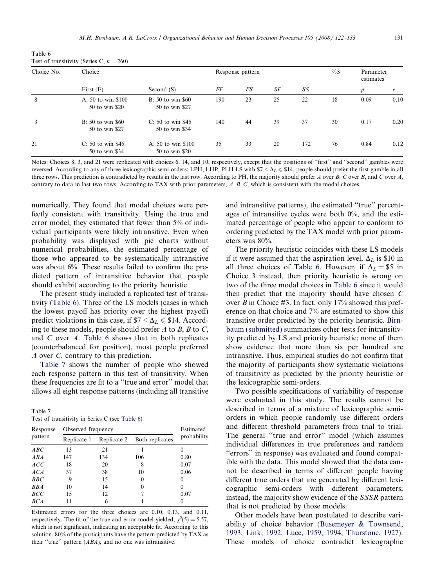| Table 6                                     |  |
|---------------------------------------------|--|
| Test of transitivity (Series C, $n = 260$ ) |  |

| Choice No. | Choice                                 | Response pattern                      |     |           |    | $\%S$ | Parameter<br>estimates |      |            |
|------------|----------------------------------------|---------------------------------------|-----|-----------|----|-------|------------------------|------|------------|
|            | First $(F)$                            | Second $(S)$                          | FF  | <b>FS</b> | SF | SS    |                        | p    | $\epsilon$ |
| 8          | A: $50$ to win \$100<br>50 to win \$20 | B: 50 to win \$60<br>50 to win \$27   | 190 | 23        | 25 | 22    | 18                     | 0.09 | 0.10       |
| 3          | B: 50 to win \$60<br>50 to win \$27    | $C: 50$ to win \$45<br>50 to win \$34 | 140 | 44        | 39 | 37    | 30                     | 0.17 | 0.20       |
| 21         | $C: 50$ to win \$45<br>50 to win \$34  | A: 50 to win \$100<br>50 to win \$20  | 35  | 33        | 20 | 172   | 76                     | 0.84 | 0.12       |

Notes: Choices 8, 3, and 21 were replicated with choices 6, 14, and 10, respectively, except that the positions of "first" and "second" gambles were reversed. According to any of three lexicographic semi-orders: LPH, LHP, PLH LS with  $\sqrt{57} < \Delta_L \leq 14$ , people should prefer the first gamble in all three rows. This prediction is contradicted by results in the last row. According to PH, the majority should prefer  $A$  over  $B$ ,  $C$  over  $B$ , and  $C$  over  $A$ , contrary to data in last two rows. According to TAX with prior parameters,  $A \, B \, C$ , which is consistent with the modal choices.

numerically. They found that modal choices were perfectly consistent with transitivity. Using the true and error model, they estimated that fewer than 5% of individual participants were likely intransitive. Even when probability was displayed with pie charts without numerical probabilities, the estimated percentage of those who appeared to be systematically intransitive was about 6%. These results failed to confirm the predicted pattern of intransitive behavior that people should exhibit according to the priority heuristic.

The present study included a replicated test of transitivity (Table 6). Three of the LS models (cases in which the lowest payoff has priority over the highest payoff) predict violations in this case, if  $$7 < \Delta_L \le $14$ . According to these models, people should prefer  $A$  to  $B$ ,  $B$  to  $C$ , and C over A. Table 6 shows that in both replicates (counterbalanced for position), most people preferred A over C, contrary to this prediction.

Table 7 shows the number of people who showed each response pattern in this test of transitivity. When these frequencies are fit to a ''true and error'' model that allows all eight response patterns (including all transitive

| Table 7                                        |  |  |  |
|------------------------------------------------|--|--|--|
| Test of transitivity in Series C (see Table 6) |  |  |  |

| Response   | Observed frequency | Estimated   |                 |             |  |
|------------|--------------------|-------------|-----------------|-------------|--|
| pattern    | Replicate 1        | Replicate 2 | Both replicates | probability |  |
| ABC        | 13                 | 21          |                 |             |  |
| ABA        | 147                | 134         | 106             | 0.80        |  |
| ACC        | 18                 | 20          | 8               | 0.07        |  |
| ACA        | 37                 | 38          | 10              | 0.06        |  |
| BBC        | 9                  | 15          | $\theta$        | $\Omega$    |  |
| <b>BBA</b> | 10                 | 14          | 0               | $\theta$    |  |
| BCC        | 15                 | 12          |                 | 0.07        |  |
| BCA        | 11                 | 6           |                 |             |  |

Estimated errors for the three choices are 0.10, 0.13, and 0.11, respectively. The fit of the true and error model yielded,  $\chi^2(5) = 5.57$ , which is not significant, indicating an acceptable fit. According to this solution, 80% of the participants have the pattern predicted by TAX as their "true" pattern  $(ABA)$ , and no one was intransitive.

and intransitive patterns), the estimated ''true'' percentages of intransitive cycles were both  $0\%$ , and the estimated percentage of people who appear to conform to ordering predicted by the TAX model with prior parameters was 80%.

The priority heuristic coincides with these LS models if it were assumed that the aspiration level,  $\Delta_L$  is \$10 in all three choices of Table 6. However, if  $\Delta_L = $5$  in Choice 3 instead, then priority heuristic is wrong on two of the three modal choices in Table 6 since it would then predict that the majority should have chosen C over B in Choice  $#3$ . In fact, only 17% showed this preference on that choice and 7% are estimated to show this transitive order predicted by the priority heuristic. [Birn](#page-10-0)[baum \(submitted\)](#page-10-0) summarizes other tests for intransitivity predicted by LS and priority heuristic; none of them show evidence that more than six per hundred are intransitive. Thus, empirical studies do not confirm that the majority of participants show systematic violations of transitivity as predicted by the priority heuristic or the lexicographic semi-orders.

Two possible specifications of variability of response were evaluated in this study. The results cannot be described in terms of a mixture of lexicographic semiorders in which people randomly use different orders and different threshold parameters from trial to trial. The general ''true and error'' model (which assumes individual differences in true preferences and random ''errors'' in response) was evaluated and found compatible with the data. This model showed that the data cannot be described in terms of different people having different true orders that are generated by different lexicographic semi-orders with different parameters; instead, the majority show evidence of the SSSR pattern that is not predicted by those models.

Other models have been postulated to describe variability of choice behavior [\(Busemeyer & Townsend,](#page-10-0) [1993; Link, 1992; Luce, 1959, 1994; Thurstone, 1927\)](#page-10-0). These models of choice contradict lexicographic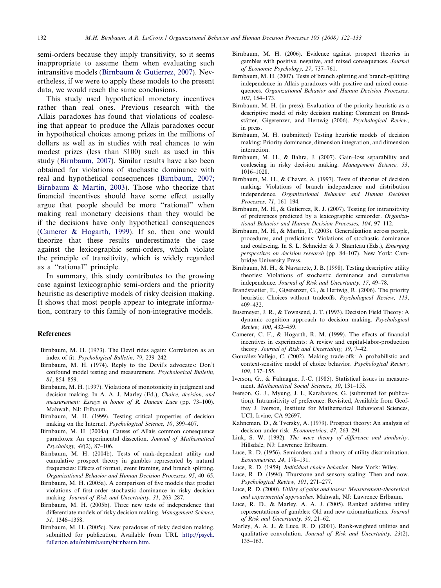<span id="page-10-0"></span>semi-orders because they imply transitivity, so it seems inappropriate to assume them when evaluating such intransitive models (Birnbaum & Gutierrez, 2007). Nevertheless, if we were to apply these models to the present data, we would reach the same conclusions.

This study used hypothetical monetary incentives rather than real ones. Previous research with the Allais paradoxes has found that violations of coalescing that appear to produce the Allais paradoxes occur in hypothetical choices among prizes in the millions of dollars as well as in studies with real chances to win modest prizes (less than \$100) such as used in this study (Birnbaum, 2007). Similar results have also been obtained for violations of stochastic dominance with real and hypothetical consequences (Birnbaum, 2007; Birnbaum & Martin, 2003). Those who theorize that financial incentives should have some effect usually argue that people should be more ''rational'' when making real monetary decisions than they would be if the decisions have only hypothetical consequences (Camerer & Hogarth, 1999). If so, then one would theorize that these results underestimate the case against the lexicographic semi-orders, which violate the principle of transitivity, which is widely regarded as a ''rational'' principle.

In summary, this study contributes to the growing case against lexicographic semi-orders and the priority heuristic as descriptive models of risky decision making. It shows that most people appear to integrate information, contrary to this family of non-integrative models.

# References

- Birnbaum, M. H. (1973). The Devil rides again: Correlation as an index of fit. Psychological Bulletin, 79, 239–242.
- Birnbaum, M. H. (1974). Reply to the Devil's advocates: Don't confound model testing and measurement. Psychological Bulletin, 81, 854–859.
- Birnbaum, M. H. (1997). Violations of monotonicity in judgment and decision making. In A. A. J. Marley (Ed.), Choice, decision, and measurement: Essays in honor of R. Duncan Luce (pp. 73–100). Mahwah, NJ: Erlbaum.
- Birnbaum, M. H. (1999). Testing critical properties of decision making on the Internet. Psychological Science, 10, 399–407.
- Birnbaum, M. H. (2004a). Causes of Allais common consequence paradoxes: An experimental dissection. Journal of Mathematical Psychology, 48(2), 87–106.
- Birnbaum, M. H. (2004b). Tests of rank-dependent utility and cumulative prospect theory in gambles represented by natural frequencies: Effects of format, event framing, and branch splitting. Organizational Behavior and Human Decision Processes, 95, 40–65.
- Birnbaum, M. H. (2005a). A comparison of five models that predict violations of first-order stochastic dominance in risky decision making. Journal of Risk and Uncertainty, 31, 263–287.
- Birnbaum, M. H. (2005b). Three new tests of independence that differentiate models of risky decision making. Management Science, 51, 1346–1358.
- Birnbaum, M. H. (2005c). New paradoxes of risky decision making. submitted for publication, Available from URL [http://psych.](http://psych.fullerton.edu/mbirnbaum/birnbaum.htm) [fullerton.edu/mbirnbaum/birnbaum.htm.](http://psych.fullerton.edu/mbirnbaum/birnbaum.htm)
- Birnbaum, M. H. (2006). Evidence against prospect theories in gambles with positive, negative, and mixed consequences. Journal of Economic Psychology, 27, 737–761.
- Birnbaum, M. H. (2007). Tests of branch splitting and branch-splitting independence in Allais paradoxes with positive and mixed consequences. Organizational Behavior and Human Decision Processes, 102, 154–173.
- Birnbaum, M. H. (in press). Evaluation of the priority heuristic as a descriptive model of risky decision making: Comment on Brandstätter, Gigerenzer, and Hertwig (2006). Psychological Review, in press.
- Birnbaum, M. H. (submitted) Testing heuristic models of decision making: Priority dominance, dimension integration, and dimension interaction.
- Birnbaum, M. H., & Bahra, J. (2007). Gain–loss separability and coalescing in risky decision making. Management Science, 53, 1016–1028.
- Birnbaum, M. H., & Chavez, A. (1997). Tests of theories of decision making: Violations of branch independence and distribution independence. Organizational Behavior and Human Decision Processes, 71, 161–194.
- Birnbaum, M. H., & Gutierrez, R. J. (2007). Testing for intransitivity of preferences predicted by a lexicographic semiorder. Organizational Behavior and Human Decision Processes, 104, 97–112.
- Birnbaum, M. H., & Martin, T. (2003). Generalization across people, procedures, and predictions: Violations of stochastic dominance and coalescing. In S. L. Schneider & J. Shanteau (Eds.), Emerging perspectives on decision research (pp. 84–107). New York: Cambridge University Press.
- Birnbaum, M. H., & Navarrete, J. B. (1998). Testing descriptive utility theories: Violations of stochastic dominance and cumulative independence. Journal of Risk and Uncertainty, 17, 49–78.
- Brandstaetter, E., Gigerenzer, G., & Hertwig, R. (2006). The priority heuristic: Choices without tradeoffs. Psychological Review, 113, 409–432.
- Busemeyer, J. R., & Townsend, J. T. (1993). Decision Field Theory: A dynamic cognition approach to decision making. Psychological Review, 100, 432–459.
- Camerer, C. F., & Hogarth, R. M. (1999). The effects of financial incentives in experiments: A review and capital-labor-production theory. Journal of Risk and Uncertainty, 19, 7–42.
- González-Vallejo, C. (2002). Making trade-offs: A probabilistic and context-sensitive model of choice behavior. Psychological Review, 109, 137–155.
- Iverson, G., & Falmagne, J.-C. (1985). Statistical issues in measurement. Mathematical Social Sciences, 10, 131–153.
- Iverson, G. J., Myung, J. I., Karabatsos, G. (submitted for publication). Intransitivity of preference: Revisited, Available from Geoffrey J. Iverson, Institute for Mathematical Behavioral Sciences, UCI, Irvine, CA 92697.
- Kahneman, D., & Tversky, A. (1979). Prospect theory: An analysis of decision under risk. Econometrica, 47, 263–291.
- Link, S. W. (1992). The wave theory of difference and similarity. Hillsdale, NJ: Lawrence Erlbaum.
- Luce, R. D. (1956). Semiorders and a theory of utility discrimination. Econometrica, 24, 178–191.
- Luce, R. D. (1959). Individual choice behavior. New York: Wiley.
- Luce, R. D. (1994). Thurstone and sensory scaling: Then and now. Psychological Review, 101, 271–277.
- Luce, R. D. (2000). Utility of gains and losses: Measurement-theoretical and experimental approaches. Mahwah, NJ: Lawrence Erlbaum.
- Luce, R. D., & Marley, A. A. J. (2005). Ranked additive utility representations of gambles: Old and new axiomatizations. Journal of Risk and Uncertainty, 30, 21–62.
- Marley, A. A. J., & Luce, R. D. (2001). Rank-weighted utilities and qualitative convolution. Journal of Risk and Uncertainty, 23(2), 135–163.